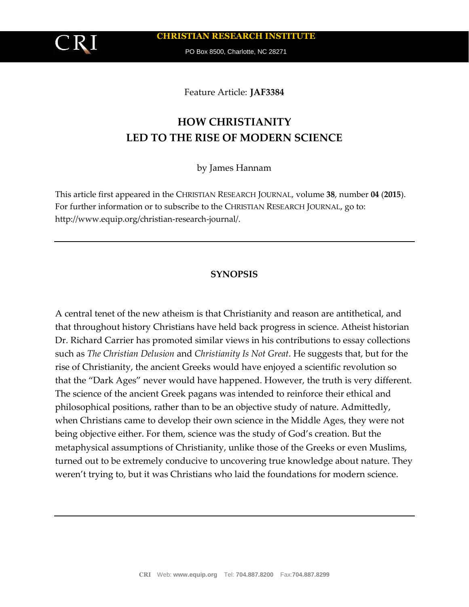

**CHRISTIAN RESEARCH INSTITUTE**

PO Box 8500, Charlotte, NC 28271

Feature Article: **JAF3384**

# **HOW CHRISTIANITY LED TO THE RISE OF MODERN SCIENCE**

by James Hannam

This article first appeared in the CHRISTIAN RESEARCH JOURNAL, volume **38**, number **04** (**2015**). For further information or to subscribe to the CHRISTIAN RESEARCH JOURNAL, go to: http://www.equip.org/christian-research-journal/.

## **SYNOPSIS**

A central tenet of the new atheism is that Christianity and reason are antithetical, and that throughout history Christians have held back progress in science. Atheist historian Dr. Richard Carrier has promoted similar views in his contributions to essay collections such as *The Christian Delusion* and *Christianity Is Not Great*. He suggests that, but for the rise of Christianity, the ancient Greeks would have enjoyed a scientific revolution so that the "Dark Ages" never would have happened. However, the truth is very different. The science of the ancient Greek pagans was intended to reinforce their ethical and philosophical positions, rather than to be an objective study of nature. Admittedly, when Christians came to develop their own science in the Middle Ages, they were not being objective either. For them, science was the study of God's creation. But the metaphysical assumptions of Christianity, unlike those of the Greeks or even Muslims, turned out to be extremely conducive to uncovering true knowledge about nature. They weren't trying to, but it was Christians who laid the foundations for modern science.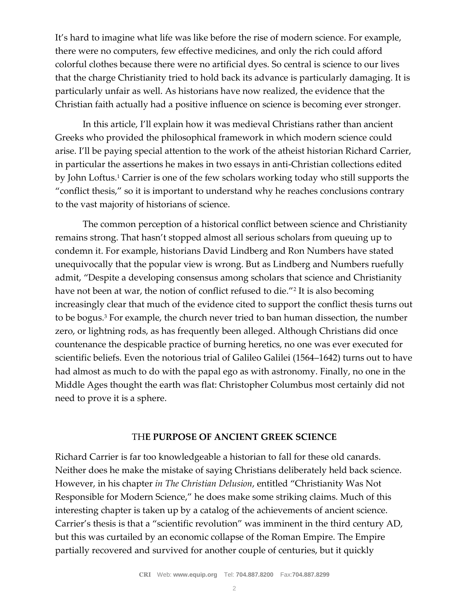It's hard to imagine what life was like before the rise of modern science. For example, there were no computers, few effective medicines, and only the rich could afford colorful clothes because there were no artificial dyes. So central is science to our lives that the charge Christianity tried to hold back its advance is particularly damaging. It is particularly unfair as well. As historians have now realized, the evidence that the Christian faith actually had a positive influence on science is becoming ever stronger.

In this article, I'll explain how it was medieval Christians rather than ancient Greeks who provided the philosophical framework in which modern science could arise. I'll be paying special attention to the work of the atheist historian Richard Carrier, in particular the assertions he makes in two essays in anti-Christian collections edited by John Loftus.<sup>1</sup> Carrier is one of the few scholars working today who still supports the "conflict thesis," so it is important to understand why he reaches conclusions contrary to the vast majority of historians of science.

The common perception of a historical conflict between science and Christianity remains strong. That hasn't stopped almost all serious scholars from queuing up to condemn it. For example, historians David Lindberg and Ron Numbers have stated unequivocally that the popular view is wrong. But as Lindberg and Numbers ruefully admit, "Despite a developing consensus among scholars that science and Christianity have not been at war, the notion of conflict refused to die."<sup>2</sup> It is also becoming increasingly clear that much of the evidence cited to support the conflict thesis turns out to be bogus.<sup>3</sup> For example, the church never tried to ban human dissection, the number zero, or lightning rods, as has frequently been alleged. Although Christians did once countenance the despicable practice of burning heretics, no one was ever executed for scientific beliefs. Even the notorious trial of Galileo Galilei (1564–1642) turns out to have had almost as much to do with the papal ego as with astronomy. Finally, no one in the Middle Ages thought the earth was flat: Christopher Columbus most certainly did not need to prove it is a sphere.

## TH**E PURPOSE OF ANCIENT GREEK SCIENCE**

Richard Carrier is far too knowledgeable a historian to fall for these old canards. Neither does he make the mistake of saying Christians deliberately held back science. However, in his chapter *in The Christian Delusion*, entitled "Christianity Was Not Responsible for Modern Science," he does make some striking claims. Much of this interesting chapter is taken up by a catalog of the achievements of ancient science. Carrier's thesis is that a "scientific revolution" was imminent in the third century AD, but this was curtailed by an economic collapse of the Roman Empire. The Empire partially recovered and survived for another couple of centuries, but it quickly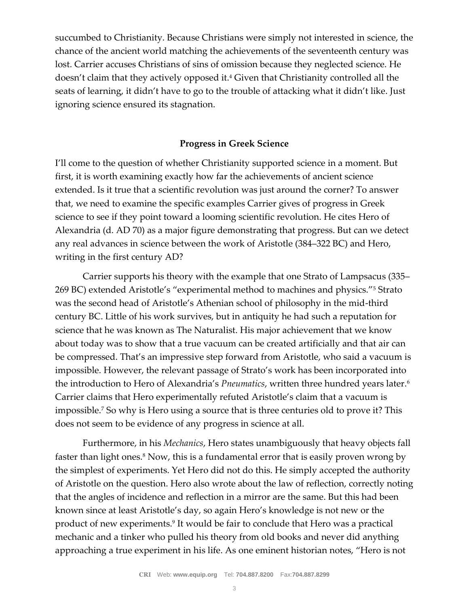succumbed to Christianity. Because Christians were simply not interested in science, the chance of the ancient world matching the achievements of the seventeenth century was lost. Carrier accuses Christians of sins of omission because they neglected science. He doesn't claim that they actively opposed it.<sup>4</sup> Given that Christianity controlled all the seats of learning, it didn't have to go to the trouble of attacking what it didn't like. Just ignoring science ensured its stagnation.

## **Progress in Greek Science**

I'll come to the question of whether Christianity supported science in a moment. But first, it is worth examining exactly how far the achievements of ancient science extended. Is it true that a scientific revolution was just around the corner? To answer that, we need to examine the specific examples Carrier gives of progress in Greek science to see if they point toward a looming scientific revolution. He cites Hero of Alexandria (d. AD 70) as a major figure demonstrating that progress. But can we detect any real advances in science between the work of Aristotle (384–322 BC) and Hero, writing in the first century AD?

Carrier supports his theory with the example that one Strato of Lampsacus (335– 269 BC) extended Aristotle's "experimental method to machines and physics."<sup>5</sup> Strato was the second head of Aristotle's Athenian school of philosophy in the mid-third century BC. Little of his work survives, but in antiquity he had such a reputation for science that he was known as The Naturalist. His major achievement that we know about today was to show that a true vacuum can be created artificially and that air can be compressed. That's an impressive step forward from Aristotle, who said a vacuum is impossible. However, the relevant passage of Strato's work has been incorporated into the introduction to Hero of Alexandria's *Pneumatics*, written three hundred years later.<sup>6</sup> Carrier claims that Hero experimentally refuted Aristotle's claim that a vacuum is impossible.<sup>7</sup> So why is Hero using a source that is three centuries old to prove it? This does not seem to be evidence of any progress in science at all.

Furthermore, in his *Mechanics*, Hero states unambiguously that heavy objects fall faster than light ones.<sup>8</sup> Now, this is a fundamental error that is easily proven wrong by the simplest of experiments. Yet Hero did not do this. He simply accepted the authority of Aristotle on the question. Hero also wrote about the law of reflection, correctly noting that the angles of incidence and reflection in a mirror are the same. But this had been known since at least Aristotle's day, so again Hero's knowledge is not new or the product of new experiments.<sup>9</sup> It would be fair to conclude that Hero was a practical mechanic and a tinker who pulled his theory from old books and never did anything approaching a true experiment in his life. As one eminent historian notes, "Hero is not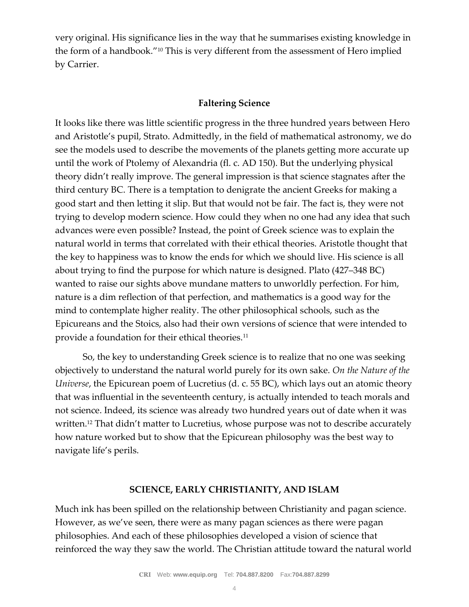very original. His significance lies in the way that he summarises existing knowledge in the form of a handbook."<sup>10</sup> This is very different from the assessment of Hero implied by Carrier.

## **Faltering Science**

It looks like there was little scientific progress in the three hundred years between Hero and Aristotle's pupil, Strato. Admittedly, in the field of mathematical astronomy, we do see the models used to describe the movements of the planets getting more accurate up until the work of Ptolemy of Alexandria (fl. c. AD 150). But the underlying physical theory didn't really improve. The general impression is that science stagnates after the third century BC. There is a temptation to denigrate the ancient Greeks for making a good start and then letting it slip. But that would not be fair. The fact is, they were not trying to develop modern science. How could they when no one had any idea that such advances were even possible? Instead, the point of Greek science was to explain the natural world in terms that correlated with their ethical theories. Aristotle thought that the key to happiness was to know the ends for which we should live. His science is all about trying to find the purpose for which nature is designed. Plato (427–348 BC) wanted to raise our sights above mundane matters to unworldly perfection. For him, nature is a dim reflection of that perfection, and mathematics is a good way for the mind to contemplate higher reality. The other philosophical schools, such as the Epicureans and the Stoics, also had their own versions of science that were intended to provide a foundation for their ethical theories.<sup>11</sup>

So, the key to understanding Greek science is to realize that no one was seeking objectively to understand the natural world purely for its own sake. *On the Nature of the Universe*, the Epicurean poem of Lucretius (d. c. 55 BC), which lays out an atomic theory that was influential in the seventeenth century, is actually intended to teach morals and not science. Indeed, its science was already two hundred years out of date when it was written.<sup>12</sup> That didn't matter to Lucretius, whose purpose was not to describe accurately how nature worked but to show that the Epicurean philosophy was the best way to navigate life's perils.

### **SCIENCE, EARLY CHRISTIANITY, AND ISLAM**

Much ink has been spilled on the relationship between Christianity and pagan science. However, as we've seen, there were as many pagan sciences as there were pagan philosophies. And each of these philosophies developed a vision of science that reinforced the way they saw the world. The Christian attitude toward the natural world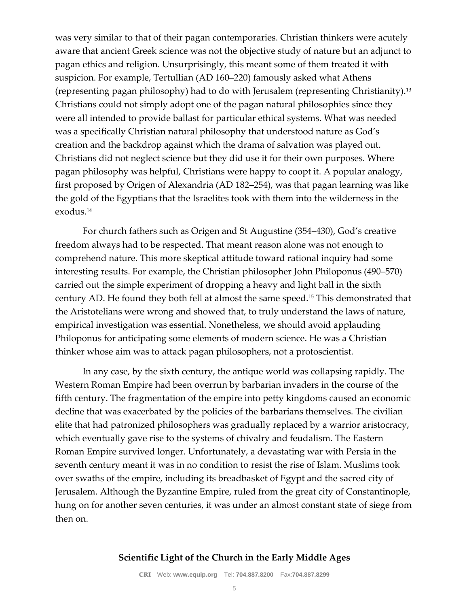was very similar to that of their pagan contemporaries. Christian thinkers were acutely aware that ancient Greek science was not the objective study of nature but an adjunct to pagan ethics and religion. Unsurprisingly, this meant some of them treated it with suspicion. For example, Tertullian (AD 160–220) famously asked what Athens (representing pagan philosophy) had to do with Jerusalem (representing Christianity).<sup>13</sup> Christians could not simply adopt one of the pagan natural philosophies since they were all intended to provide ballast for particular ethical systems. What was needed was a specifically Christian natural philosophy that understood nature as God's creation and the backdrop against which the drama of salvation was played out. Christians did not neglect science but they did use it for their own purposes. Where pagan philosophy was helpful, Christians were happy to coopt it. A popular analogy, first proposed by Origen of Alexandria (AD 182–254), was that pagan learning was like the gold of the Egyptians that the Israelites took with them into the wilderness in the exodus.<sup>14</sup>

For church fathers such as Origen and St Augustine (354–430), God's creative freedom always had to be respected. That meant reason alone was not enough to comprehend nature. This more skeptical attitude toward rational inquiry had some interesting results. For example, the Christian philosopher John Philoponus (490–570) carried out the simple experiment of dropping a heavy and light ball in the sixth century AD. He found they both fell at almost the same speed.<sup>15</sup> This demonstrated that the Aristotelians were wrong and showed that, to truly understand the laws of nature, empirical investigation was essential. Nonetheless, we should avoid applauding Philoponus for anticipating some elements of modern science. He was a Christian thinker whose aim was to attack pagan philosophers, not a protoscientist.

In any case, by the sixth century, the antique world was collapsing rapidly. The Western Roman Empire had been overrun by barbarian invaders in the course of the fifth century. The fragmentation of the empire into petty kingdoms caused an economic decline that was exacerbated by the policies of the barbarians themselves. The civilian elite that had patronized philosophers was gradually replaced by a warrior aristocracy, which eventually gave rise to the systems of chivalry and feudalism. The Eastern Roman Empire survived longer. Unfortunately, a devastating war with Persia in the seventh century meant it was in no condition to resist the rise of Islam. Muslims took over swaths of the empire, including its breadbasket of Egypt and the sacred city of Jerusalem. Although the Byzantine Empire, ruled from the great city of Constantinople, hung on for another seven centuries, it was under an almost constant state of siege from then on.

### **Scientific Light of the Church in the Early Middle Ages**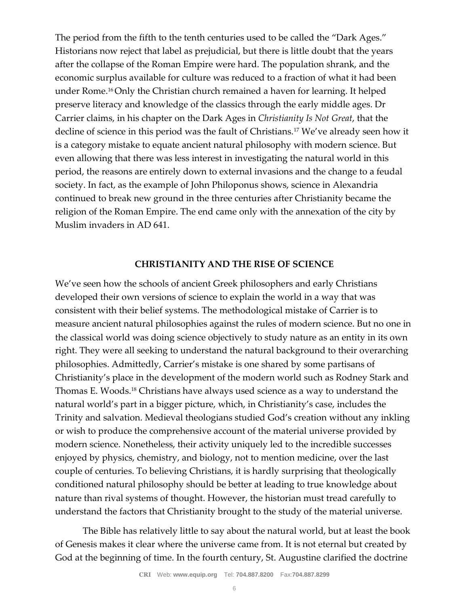The period from the fifth to the tenth centuries used to be called the "Dark Ages." Historians now reject that label as prejudicial, but there is little doubt that the years after the collapse of the Roman Empire were hard. The population shrank, and the economic surplus available for culture was reduced to a fraction of what it had been under Rome.16 Only the Christian church remained a haven for learning. It helped preserve literacy and knowledge of the classics through the early middle ages. Dr Carrier claims, in his chapter on the Dark Ages in *Christianity Is Not Great*, that the decline of science in this period was the fault of Christians.<sup>17</sup> We've already seen how it is a category mistake to equate ancient natural philosophy with modern science. But even allowing that there was less interest in investigating the natural world in this period, the reasons are entirely down to external invasions and the change to a feudal society. In fact, as the example of John Philoponus shows, science in Alexandria continued to break new ground in the three centuries after Christianity became the religion of the Roman Empire. The end came only with the annexation of the city by Muslim invaders in AD 641.

## **CHRISTIANITY AND THE RISE OF SCIENCE**

We've seen how the schools of ancient Greek philosophers and early Christians developed their own versions of science to explain the world in a way that was consistent with their belief systems. The methodological mistake of Carrier is to measure ancient natural philosophies against the rules of modern science. But no one in the classical world was doing science objectively to study nature as an entity in its own right. They were all seeking to understand the natural background to their overarching philosophies. Admittedly, Carrier's mistake is one shared by some partisans of Christianity's place in the development of the modern world such as Rodney Stark and Thomas E. Woods.<sup>18</sup> Christians have always used science as a way to understand the natural world's part in a bigger picture, which, in Christianity's case, includes the Trinity and salvation. Medieval theologians studied God's creation without any inkling or wish to produce the comprehensive account of the material universe provided by modern science. Nonetheless, their activity uniquely led to the incredible successes enjoyed by physics, chemistry, and biology, not to mention medicine, over the last couple of centuries. To believing Christians, it is hardly surprising that theologically conditioned natural philosophy should be better at leading to true knowledge about nature than rival systems of thought. However, the historian must tread carefully to understand the factors that Christianity brought to the study of the material universe.

The Bible has relatively little to say about the natural world, but at least the book of Genesis makes it clear where the universe came from. It is not eternal but created by God at the beginning of time. In the fourth century, St. Augustine clarified the doctrine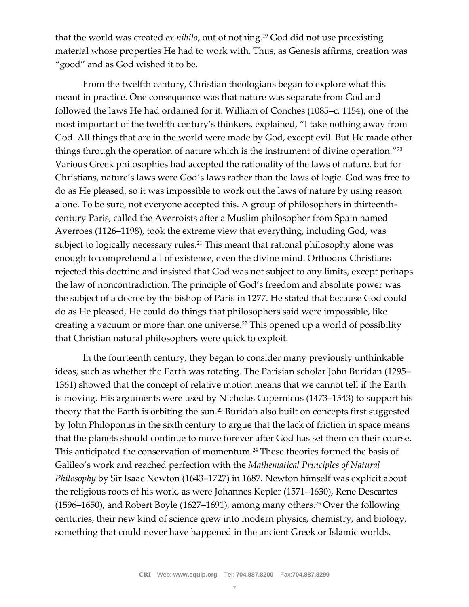that the world was created *ex nihilo*, out of nothing.<sup>19</sup> God did not use preexisting material whose properties He had to work with. Thus, as Genesis affirms, creation was "good" and as God wished it to be.

From the twelfth century, Christian theologians began to explore what this meant in practice. One consequence was that nature was separate from God and followed the laws He had ordained for it. William of Conches (1085–c. 1154), one of the most important of the twelfth century's thinkers, explained, "I take nothing away from God. All things that are in the world were made by God, except evil. But He made other things through the operation of nature which is the instrument of divine operation."<sup>20</sup> Various Greek philosophies had accepted the rationality of the laws of nature, but for Christians, nature's laws were God's laws rather than the laws of logic. God was free to do as He pleased, so it was impossible to work out the laws of nature by using reason alone. To be sure, not everyone accepted this. A group of philosophers in thirteenthcentury Paris, called the Averroists after a Muslim philosopher from Spain named Averroes (1126–1198), took the extreme view that everything, including God, was subject to logically necessary rules.<sup>21</sup> This meant that rational philosophy alone was enough to comprehend all of existence, even the divine mind. Orthodox Christians rejected this doctrine and insisted that God was not subject to any limits, except perhaps the law of noncontradiction. The principle of God's freedom and absolute power was the subject of a decree by the bishop of Paris in 1277. He stated that because God could do as He pleased, He could do things that philosophers said were impossible, like creating a vacuum or more than one universe.<sup>22</sup> This opened up a world of possibility that Christian natural philosophers were quick to exploit.

In the fourteenth century, they began to consider many previously unthinkable ideas, such as whether the Earth was rotating. The Parisian scholar John Buridan (1295– 1361) showed that the concept of relative motion means that we cannot tell if the Earth is moving. His arguments were used by Nicholas Copernicus (1473–1543) to support his theory that the Earth is orbiting the sun.<sup>23</sup> Buridan also built on concepts first suggested by John Philoponus in the sixth century to argue that the lack of friction in space means that the planets should continue to move forever after God has set them on their course. This anticipated the conservation of momentum.<sup>24</sup> These theories formed the basis of Galileo's work and reached perfection with the *Mathematical Principles of Natural Philosophy* by Sir Isaac Newton (1643–1727) in 1687. Newton himself was explicit about the religious roots of his work, as were Johannes Kepler (1571–1630), Rene Descartes (1596–1650), and Robert Boyle (1627–1691), among many others.<sup>25</sup> Over the following centuries, their new kind of science grew into modern physics, chemistry, and biology, something that could never have happened in the ancient Greek or Islamic worlds.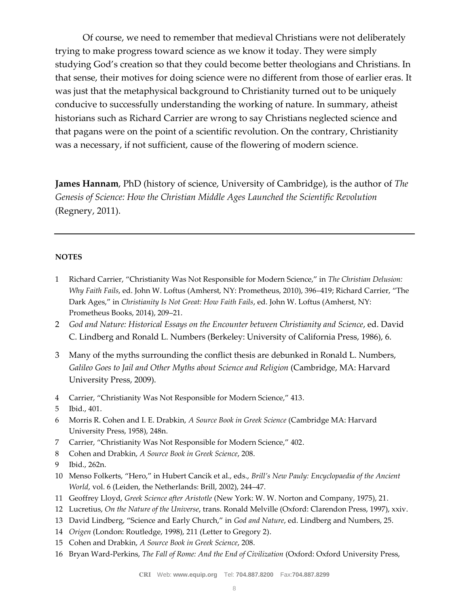Of course, we need to remember that medieval Christians were not deliberately trying to make progress toward science as we know it today. They were simply studying God's creation so that they could become better theologians and Christians. In that sense, their motives for doing science were no different from those of earlier eras. It was just that the metaphysical background to Christianity turned out to be uniquely conducive to successfully understanding the working of nature. In summary, atheist historians such as Richard Carrier are wrong to say Christians neglected science and that pagans were on the point of a scientific revolution. On the contrary, Christianity was a necessary, if not sufficient, cause of the flowering of modern science.

**James Hannam**, PhD (history of science, University of Cambridge), is the author of *The Genesis of Science: How the Christian Middle Ages Launched the Scientific Revolution* (Regnery, 2011).

#### **NOTES**

- 1 Richard Carrier, "Christianity Was Not Responsible for Modern Science," in *The Christian Delusion: Why Faith Fails*, ed. John W. Loftus (Amherst, NY: Prometheus, 2010), 396–419; Richard Carrier, "The Dark Ages," in *Christianity Is Not Great: How Faith Fails*, ed. John W. Loftus (Amherst, NY: Prometheus Books, 2014), 209–21.
- 2 *God and Nature: Historical Essays on the Encounter between Christianity and Science*, ed. David C. Lindberg and Ronald L. Numbers (Berkeley: University of California Press, 1986), 6.
- 3 Many of the myths surrounding the conflict thesis are debunked in Ronald L. Numbers, *Galileo Goes to Jail and Other Myths about Science and Religion* (Cambridge, MA: Harvard University Press, 2009).
- 4 Carrier, "Christianity Was Not Responsible for Modern Science," 413.
- 5 Ibid., 401.
- 6 Morris R. Cohen and I. E. Drabkin, *A Source Book in Greek Science* (Cambridge MA: Harvard University Press, 1958), 248n.
- 7 Carrier, "Christianity Was Not Responsible for Modern Science," 402.
- 8 Cohen and Drabkin, *A Source Book in Greek Science*, 208.
- 9 Ibid., 262n.
- 10 Menso Folkerts, "Hero," in Hubert Cancik et al., eds., *Brill's New Pauly: Encyclopaedia of the Ancient World*, vol. 6 (Leiden, the Netherlands: Brill, 2002), 244–47.
- 11 Geoffrey Lloyd, *Greek Science after Aristotle* (New York: W. W. Norton and Company, 1975), 21.
- 12 Lucretius, *On the Nature of the Universe*, trans. Ronald Melville (Oxford: Clarendon Press, 1997), xxiv.
- 13 David Lindberg, "Science and Early Church," in *God and Nature*, ed. Lindberg and Numbers, 25.
- 14 *Origen* (London: Routledge, 1998), 211 (Letter to Gregory 2).
- 15 Cohen and Drabkin, *A Source Book in Greek Science*, 208.
- 16 Bryan Ward-Perkins, *The Fall of Rome: And the End of Civilization* (Oxford: Oxford University Press,